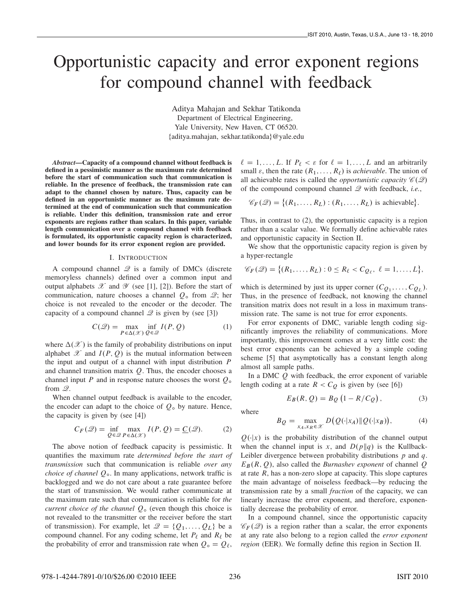# Opportunistic capacity and error exponent regions for compound channel with feedback

Aditya Mahajan and Sekhar Tatikonda Department of Electrical Engineering, Yale University, New Haven, CT 06520. faditya.mahajan, sekhar.tatikondag@yale.edu

*Abstract*—Capacity of a compound channel without feedback is defined in a pessimistic manner as the maximum rate determined before the start of communication such that communication is reliable. In the presence of feedback, the transmission rate can adapt to the channel chosen by nature. Thus, capacity can be defined in an opportunistic manner as the maximum rate determined at the end of communication such that communication is reliable. Under this definition, transmission rate and error exponents are regions rather than scalars. In this paper, variable length communication over a compound channel with feedback is formulated, its opportunistic capacity region is characterized, and lower bounds for its error exponent region are provided.

## I. INTRODUCTION

A compound channel  $\mathcal{Q}$  is a family of DMCs (discrete memoryless channels) defined over a common input and output alphabets  $\mathscr X$  and  $\mathscr Y$  (see [1], [2]). Before the start of communication, nature chooses a channel  $Q_0$  from  $\mathcal{Q}$ ; her choice is not revealed to the encoder or the decoder. The capacity of a compound channel  $\mathscr Q$  is given by (see [3])

$$
C(\mathcal{Q}) = \max_{P \in \Delta(\mathcal{X})} \inf_{Q \in \mathcal{Q}} I(P, Q)
$$
 (1)

where  $\Delta(\mathcal{X})$  is the family of probability distributions on input<br>alphabet  $\mathcal{X}$  and  $I(P, Q)$  is the mutual information between alphabet  $\mathscr X$  and  $I(P, Q)$  is the mutual information between the input and output of a channel with input distribution  $P$ and channel transition matrix  $Q$ . Thus, the encoder chooses a channel input P and in response nature chooses the worst  $Q_0$ from  $\mathscr{Q}$ .

When channel output feedback is available to the encoder, the encoder can adapt to the choice of  $Q_0$  by nature. Hence, the capacity is given by (see [4])

$$
C_F(\mathcal{Q}) = \inf_{Q \in \mathcal{Q}} \max_{P \in \Delta(\mathcal{X})} I(P, Q) = \underline{C}(\mathcal{Q}).
$$
 (2)

The above notion of feedback capacity is pessimistic. It quantifies the maximum rate *determined before the start of transmission* such that communication is reliable *over any choice of channel Q*<sub>0</sub>. In many applications, network traffic is backlogged and we do not care about a rate guarantee before the start of transmission. We would rather communicate at the maximum rate such that communication is reliable for *the current choice of the channel*  $Q_0$  (even though this choice is not revealed to the transmitter or the receiver before the start of transmission). For example, let  $\mathcal{Q} = \{Q_1, \ldots, Q_L\}$  be a compound channel. For any coding scheme, let  $P_\ell$  and  $R_\ell$  be the probability of error and transmission rate when  $Q_{\circ} = Q_{\ell}$ ,

 $\ell = 1, \ldots, L$ . If  $P_{\ell} < \varepsilon$  for  $\ell = 1, \ldots, L$  and an arbitrarily small  $\varepsilon$ , then the rate  $(R_1,\ldots,R_\ell)$  is *achievable*. The union of all achievable rates is called the *opportunistic capacity*  $\mathscr{C}(2)$ of the compound compound channel Q with feedback, *i.e.*,

$$
\mathscr{C}_F(\mathscr{Q}) = \{(R_1, \ldots, R_L) : (R_1, \ldots, R_L) \text{ is achievable}\}.
$$

Thus, in contrast to (2), the opportunistic capacity is a region rather than a scalar value. We formally define achievable rates and opportunistic capacity in Section II.

We show that the opportunistic capacity region is given by a hyper-rectangle

$$
\mathscr{C}_F(\mathscr{Q})=\{(R_1,\ldots,R_L):0\leq R_\ell
$$

which is determined by just its upper corner  $(C_{Q_1},...,C_{Q_L})$ . Thus, in the presence of feedback, not knowing the channel transition matrix does not result in a loss in maximum transmission rate. The same is not true for error exponents.

For error exponents of DMC, variable length coding significantly improves the reliability of communications. More importantly, this improvement comes at a very little cost: the best error exponents can be achieved by a simple coding scheme [5] that asymptotically has a constant length along almost all sample paths.

In a DMC  $Q$  with feedback, the error exponent of variable length coding at a rate  $R < C_Q$  is given by (see [6])

$$
E_B(R, Q) = B_Q(1 - R/C_Q), \qquad (3)
$$

where

$$
B_Q = \max_{x_A, x_B \in \mathcal{X}} D\big(Q(\cdot|x_A)\|\, Q(\cdot|x_B)\big),\tag{4}
$$

 $Q(\cdot|x)$  is the probability distribution of the channel output when the channel input is x, and  $D(p||q)$  is the Kullback-Leibler divergence between probability distributions  $p$  and  $q$ .  $E_B(R, Q)$ , also called the *Burnashev exponent* of channel Q at rate  $R$ , has a non-zero slope at capacity. This slope captures the main advantage of noiseless feedback—by reducing the transmission rate by a small *fraction* of the capacity, we can linearly increase the error exponent, and therefore, exponentially decrease the probability of error.

In a compound channel, since the opportunistic capacity  $\mathscr{C}_F(\mathscr{Q})$  is a region rather than a scalar, the error exponents at any rate also belong to a region called the *error exponent region* (EER). We formally define this region in Section II.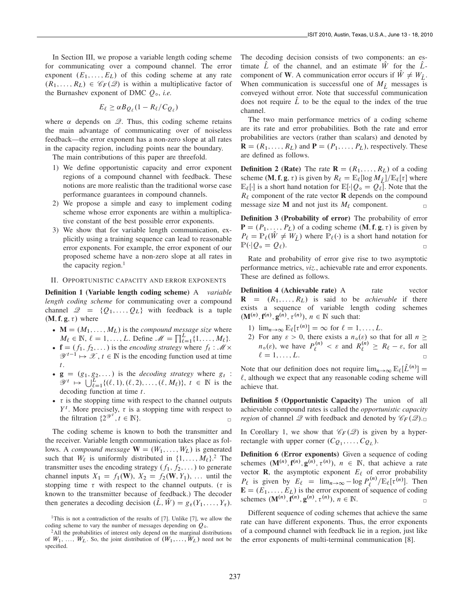In Section III, we propose a variable length coding scheme for communicating over a compound channel. The error exponent  $(E_1, \ldots, E_L)$  of this coding scheme at any rate  $(R_1,\ldots,R_L) \in \mathscr{C}_F(\mathscr{Q})$  is within a multiplicative factor of the Burnashev exponent of DMC  $Q_0$ , *i.e.* 

$$
E_{\ell} \ge \alpha B_{Q_{\ell}} (1 - R_{\ell}/C_{Q_{\ell}})
$$

where  $\alpha$  depends on  $\mathcal{Q}$ . Thus, this coding scheme retains the main advantage of communicating over of noiseless feedback—the error exponent has a non-zero slope at all rates in the capacity region, including points near the boundary.

The main contributions of this paper are threefold.

- 1) We define opportunistic capacity and error exponent regions of a compound channel with feedback. These notions are more realistic than the traditional worse case performance guarantees in compound channels.
- 2) We propose a simple and easy to implement coding scheme whose error exponents are within a multiplicative constant of the best possible error exponents.
- 3) We show that for variable length communication, explicitly using a training sequence can lead to reasonable error exponents. For example, the error exponent of our proposed scheme have a non-zero slope at all rates in the capacity region.<sup>1</sup>

#### II. OPPORTUNISTIC CAPACITY AND ERROR EXPONENTS

Definition 1 (Variable length coding scheme) A *variable length coding scheme* for communicating over a compound channel  $\mathcal{Q} = \{Q_1, \ldots, Q_L\}$  with feedback is a tuple  $(M, f, g, \tau)$  where

- $M = (M_1, \ldots, M_L)$  is the *compound message size* where  $M_e \in \mathbb{N}$   $\ell = 1$  *L* Define  $M = \prod_{i=1}^{L} M_e$  $M_{\ell} \in \mathbb{N}, \ell = 1, \ldots, L$ . Define  $\mathcal{M} = \prod_{\ell=1}^{L} \{1, \ldots, M_{\ell}\}.$ <br> $\mathbf{f} = (f, f_2, \ldots)$  is the encoding strategy where  $f, \mathcal{M}$
- $\mathbf{f} = (f_1, f_2,...)$  is the *encoding strategy* where  $f_t : \mathcal{M} \times$ <br> $\mathcal{M}^{t-1} \rightarrow \mathcal{X} \neq \in \mathbb{N}$  is the encoding function used at time  $\mathscr{Y}^{t-1} \mapsto \mathscr{X}, t \in \mathbb{N}$  is the encoding function used at time
- t.<br>  $\bullet \mathbf{g} = (g_1, g_2,...)$  is the *decoding strategy* where  $g_t$ :<br>  $\mathcal{U}^t \mapsto \left( \begin{array}{cc} \downarrow^t & \downarrow^t \\ \downarrow^t & \downarrow^t \end{array} \right)$  (*Q*) (*Q*) (*Q*) (*Q)* (*Q)* (*Q)* (*Q)* (*Q)* (*Q)* (*Q)* (*Q)* (*Q)* (*Q)* (*Q)* (*Q)* (*Q)* (*Q)*  $\mathscr{Y}^t \mapsto \bigcup_{\ell=1}^L \{(\ell, 1), (\ell, 2), \ldots, (\ell, M_\ell)\}, t \in \mathbb{N}$  is the decoding function at time t decoding function at time  $t$ .
- $\tau$  is the stopping time with respect to the channel outputs  $Y^t$ . More precisely  $\tau$  is a stopping time with respect to Y<sup>t</sup>. More precisely,  $\tau$  is a stopping time with respect to the filtration  $\Omega^{\mathcal{Y}^t}$   $t \in \mathbb{N}$ the filtration  $\{2^{\mathcal{Y}^t}, t \in \mathbb{N}\}.$

The coding scheme is known to both the transmitter and the receiver. Variable length communication takes place as follows. A *compound message*  $\mathbf{W} = (W_1, \ldots, W_L)$  is generated such that  $W_{\ell}$  is uniformly distributed in  $\{1, \ldots, M_{\ell}\}$ .<sup>2</sup> The transmitter uses the encoding strategy (*f. f.*) to generate transmitter uses the encoding strategy  $(f_1, f_2,...)$  to generate channel inputs  $X_1 = f_1(W), X_2 = f_2(W, Y_1), \dots$  until the stopping time  $\tau$  with respect to the channel outputs. ( $\tau$  is known to the transmitter because of feedback.) The decoder then generates a decoding decision  $(\hat{L}, \hat{W}) = g_{\tau}(Y_1, \ldots, Y_{\tau}).$  The decoding decision consists of two components: an estimate  $\overline{L}$  of the channel, and an estimate  $\overline{W}$  for the  $\overline{L}$ component of W. A communication error occurs if  $\hat{W} \neq W_{\hat{L}}$ . When communication is successful one of  $M_{\hat{L}}$  messages is conveyed without error. Note that successful communication does not require  $\hat{L}$  to be the equal to the index of the true channel.

The two main performance metrics of a coding scheme are its rate and error probabilities. Both the rate and error probabilities are vectors (rather than scalars) and denoted by  $\mathbf{R} = (R_1, \ldots, R_L)$  and  $\mathbf{P} = (P_1, \ldots, P_L)$ , respectively. These are defined as follows.

**Definition 2 (Rate)** The rate  $\mathbf{R} = (R_1, \ldots, R_L)$  of a coding scheme  $(M, f, g, \tau)$  is given by  $R_\ell = \mathbb{E}_\ell [\log M_{\hat{L}}] / \mathbb{E}_\ell[\tau]$  where  $\mathbb{E}_{\ell}[\cdot]$  is a short hand notation for  $\mathbb{E}[\cdot|Q_{\circ} = Q_{\ell}]$ . Note that the  $R_\ell$  component of the rate vector **R** depends on the compound message size **M** and not just its  $M_\ell$  component.

Definition 3 (Probability of error) The probability of error  $P = (P_1, \ldots, P_L)$  of a coding scheme  $(M, f, g, \tau)$  is given by  $P_{\ell} = \mathbb{P}_{\ell}(\hat{W} \neq W_{\hat{L}})$  where  $\mathbb{P}_{\ell}(\cdot)$  is a short hand notation for  $\mathbb{P}(\cdot | Q_{\circ} = Q_{\ell}).$  $\mathbb{P}(\cdot|Q_{\circ} = Q_{\ell}).$ 

Rate and probability of error give rise to two asymptotic performance metrics, *viz.*, achievable rate and error exponents. These are defined as follows.

**Definition 4 (Achievable rate)** A rate vector  $\mathbf{R} = (R_1, \ldots, R_L)$  is said to be *achievable* if there exists a sequence of variable length coding schemes  $(\mathbf{M}^{(n)}, \mathbf{f}^{(n)}, \mathbf{g}^{(n)}, \tau^{(n)}), n \in \mathbb{N}$  such that:

- 1)  $\lim_{n\to\infty} \mathbb{E}_{\ell}[\tau^{(n)}] = \infty$  for  $\ell = 1, \ldots, L$ .
- 2) For any  $\varepsilon > 0$ , there exists a  $n_o(\varepsilon)$  so that for all  $n \ge n_o$  (c) we have  $P^{(n)} > 0$  and  $P^{(n)} > P_o 0$  for all  $n_o(\varepsilon)$ , we have  $P_{\ell}^{(n)} < \varepsilon$  and  $R_{\ell}^{(n)} \ge R_{\ell} - \varepsilon$ , for all  $n_e \ge R_{\ell} - \varepsilon$ , for all  $\ell = 1, \ldots, L.$

Note that our definition does not require  $\lim_{n\to\infty} \mathbb{E}_{\ell}[\tilde{L}^{(n)}] =$  $\ell$ , although we expect that any reasonable coding scheme will achieve that.

Definition 5 (Opportunistic Capacity) The union of all achievable compound rates is called the *opportunistic capacity region* of channel Q with feedback and denoted by  $\mathscr{C}_F(\mathscr{Q})$ .

In Corollary 1, we show that  $\mathcal{C}_F(\mathcal{Q})$  is given by a hyperrectangle with upper corner  $(C_{Q_1},...,C_{Q_L})$ .

Definition 6 (Error exponents) Given a sequence of coding schemes  $(\mathbf{M}^{(n)}, \mathbf{f}^{(n)}, \mathbf{g}^{(n)}, \tau^{(n)}), n \in \mathbb{N}$ , that achieve a rate<br>vector **R** the asymptotic exponent  $F_e$  of error probability vector **R**, the asymptotic exponent  $E_\ell$  of error probability  $P_{\ell}$  is given by  $E_{\ell} = \lim_{n \to \infty} -\log P_{\ell}^{(n)}/\mathbb{E}_{\ell}[\tau^{(n)}]$ . Then  $\mathbf{F} - (F, F)$  is the error exponent of sequence of coding  $\mathbf{E} = (E_1, \ldots, E_L)$  is the error exponent of sequence of coding schemes  $(\mathbf{M}^{(n)}, \mathbf{f}^{(n)}, \mathbf{g}^{(n)}, \tau^{(n)}), n \in \mathbb{N}$ .

Different sequence of coding schemes that achieve the same rate can have different exponents. Thus, the error exponents of a compound channel with feedback lie in a region, just like the error exponents of multi-terminal communication [8].

<sup>&</sup>lt;sup>1</sup>This is not a contradiction of the results of [7]. Unlike [7], we allow the coding scheme to vary the number of messages depending on  $Q_0$ .

<sup>&</sup>lt;sup>2</sup>All the probabilities of interest only depend on the marginal distributions of  $W_1, \ldots, W_L$ . So, the joint distribution of  $(W_1, \ldots, W_L)$  need not be specified.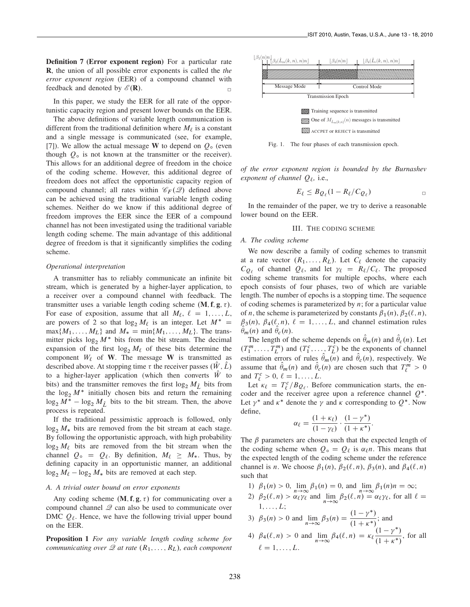Definition 7 (Error exponent region) For a particular rate R, the union of all possible error exponents is called the *the error exponent region* (EER) of a compound channel with feedback and denoted by  $\mathscr{E}(\mathbf{R})$ .

In this paper, we study the EER for all rate of the opportunistic capacity region and present lower bounds on the EER.

The above definitions of variable length communication is different from the traditional definition where  $M_\ell$  is a constant and a single message is communicated (see, for example, [7]). We allow the actual message W to depend on  $Q_0$  (even though  $Q_{\circ}$  is not known at the transmitter or the receiver). This allows for an additional degree of freedom in the choice of the coding scheme. However, this additional degree of freedom does not affect the opportunistic capacity region of compound channel; all rates within  $\mathcal{C}_F(\mathcal{Q})$  defined above can be achieved using the traditional variable length coding schemes. Neither do we know if this additional degree of freedom improves the EER since the EER of a compound channel has not been investigated using the traditional variable length coding scheme. The main advantage of this additional degree of freedom is that it significantly simplifies the coding scheme.

### *Operational interpretation*

A transmitter has to reliably communicate an infinite bit stream, which is generated by a higher-layer application, to a receiver over a compound channel with feedback. The transmitter uses a variable length coding scheme  $(M, f, g, \tau)$ . For ease of exposition, assume that all  $M_\ell, \ell = 1, \ldots, L$ , are powers of 2 so that  $\log_2 M_\ell$  is an integer. Let  $M^* =$  $\max\{M_1,\ldots,M_L\}$  and  $M_* = \min\{M_1,\ldots,M_L\}$ . The transmitter picks  $\log_2 M^*$  bits from the bit stream. The decimal expansion of the first  $\log_2 M_\ell$  of these bits determine the component  $W_{\ell}$  of W. The message W is transmitted as described above. At stopping time  $\tau$  the receiver passes  $(\hat{W}, \hat{L})$ to a higher-layer application (which then converts  $\hat{W}$  to bits) and the transmitter removes the first  $\log_2 M_{\hat{L}}$  bits from the  $\log_2 M^*$  initially chosen bits and return the remaining  $\log_2 M^* - \log_2 M_{\hat{L}}$  bits to the bit stream. Then, the above process is repeated.

If the traditional pessimistic approach is followed, only  $\log_2 M_*$  bits are removed from the bit stream at each stage. By following the opportunistic approach, with high probability  $\log_2 M_\ell$  bits are removed from the bit stream when the channel  $Q_0 = Q_\ell$ . By definition,  $M_\ell \geq M_*$ . Thus, by defining capacity in an opportunistic manner, an additional  $\log_2 M_\ell - \log_2 M_*$  bits are removed at each step.

#### *A. A trivial outer bound on error exponents*

Any coding scheme  $(M, f, g, \tau)$  for communicating over a compound channel  $Q$  can also be used to communicate over DMC  $Q_{\ell}$ . Hence, we have the following trivial upper bound on the EER.

Proposition 1 *For any variable length coding scheme for communicating over*  $\mathscr Q$  *at rate*  $(R_1, \ldots, R_L)$ *, each component* 



Fig. 1. The four phases of each transmission epoch.

*of the error exponent region is bounded by the Burnashev exponent of channel*  $Q_\ell$ , i.e.,

$$
E_{\ell} \leq B_{Q_{\ell}}(1 - R_{\ell}/C_{Q_{\ell}}) \qquad \qquad \Box
$$

In the remainder of the paper, we try to derive a reasonable lower bound on the EER.

## III. THE CODING SCHEME

## *A. The coding scheme*

We now describe a family of coding schemes to transmit at a rate vector  $(R_1,\ldots,R_L)$ . Let  $C_\ell$  denote the capacity  $C_{Q_\ell}$  of channel  $Q_\ell$ , and let  $\gamma_\ell = R_\ell/C_\ell$ . The proposed coding scheme transmits for multiple epochs, where each epoch consists of four phases, two of which are variable length. The number of epochs is a stopping time. The sequence of coding schemes is parameterized by  $n$ ; for a particular value of *n*, the scheme is parameterized by constants  $\beta_1(n)$ ,  $\beta_2(\ell, n)$ ,  $\beta_3(n)$ ,  $\beta_4(\ell, n)$ ,  $\ell = 1, \ldots, L$ , and channel estimation rules  $\theta_m(n)$  and  $\theta_c(n)$ .<br>The length of t

The length of the scheme depends on  $\theta_m(n)$  and  $\theta_c(n)$ . Let  $\pi$   $T^m$  and  $(T^c - T^c)$  be the exponents of channel  $(T_1^m, \ldots, T_L^m)$  and  $(T_1^c, \ldots, T_L^c)$  be the exponents of channel<br>extinction expect of rules  $\hat{A}$  (n) and  $\hat{A}$  (n) respectively. We estimation errors of rules  $\theta_m(n)$  and  $\theta_c(n)$ , respectively. We<br>assume that  $\hat{\theta}_c(n)$  and  $\hat{\theta}_c(n)$  are chosen such that  $T^m > 0$ assume that  $\hat{\theta}_m(n)$  and  $\hat{\theta}_c(n)$  are chosen such that  $T_{\ell}^m > 0$ and  $T_{\ell}^c > 0, \ell = 1, ..., L$ .<br>Let  $\kappa_{\ell} = T^c / R_{\Omega}$ . Bet

Let  $\kappa_{\ell} = T_{\ell}^{c}/B_{Q_{\ell}}$ . Before communication starts, the en-<br>der and the receiver agree upon a reference channel  $Q^*$ coder and the receiver agree upon a reference channel  $Q^*$ . Let  $\gamma^*$  and  $\kappa^*$  denote the  $\gamma$  and  $\kappa$  corresponding to  $O^*$ . Now define,

$$
\alpha_{\ell} = \frac{(1 + \kappa_{\ell})}{(1 - \gamma_{\ell})} \cdot \frac{(1 - \gamma^*)}{(1 + \kappa^*)}.
$$

The  $\beta$  parameters are chosen such that the expected length of the coding scheme when  $Q_{\circ} = Q_{\ell}$  is  $\alpha_{\ell} n$ . This means that the expected length of the coding scheme under the reference channel is *n*. We choose  $\beta_1(n)$ ,  $\beta_2(\ell, n)$ ,  $\beta_3(n)$ , and  $\beta_4(\ell, n)$ such that

- 1)  $\beta_1(n) > 0$ ,  $\lim_{n \to \infty} \beta_1(n) = 0$ , and  $\lim_{n \to \infty} \beta_1(n)n = \infty$ ;
- 2)  $\beta_2(\ell, n) > \alpha_\ell \gamma_\ell$  and  $\lim_{n \to \infty} \beta_2(\ell, n) = \alpha_\ell \gamma_\ell$ , for all  $\ell =$  $1, \ldots, L;$
- 3)  $\beta_3(n) > 0$  and  $\lim_{n \to \infty} \beta_3(n) = \frac{(1 \gamma^*)}{(1 + \kappa^*)}$ ; and
- 4)  $\beta_4(\ell, n) > 0$  and  $\lim_{n \to \infty} \beta_4(\ell, n) = \kappa_\ell \frac{(1 \gamma^*)}{(1 + \kappa^*)}$  $(1 + \kappa^*)$ , for all  $\ell = 1, \ldots, L.$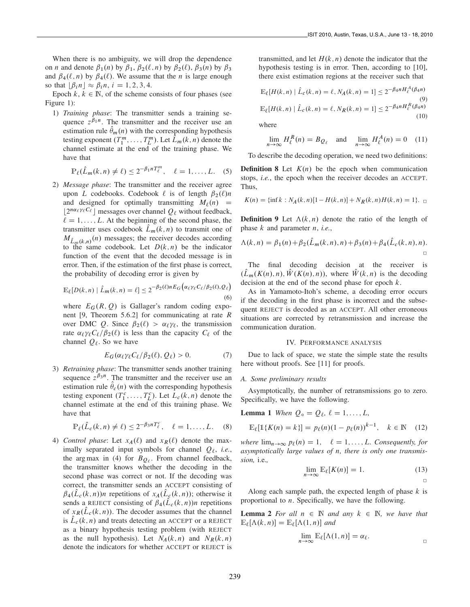When there is no ambiguity, we will drop the dependence on *n* and denote  $\beta_1(n)$  by  $\beta_1$ ,  $\beta_2(\ell, n)$  by  $\beta_2(\ell)$ ,  $\beta_3(n)$  by  $\beta_3$ and  $\beta_4(\ell, n)$  by  $\beta_4(\ell)$ . We assume that the *n* is large enough so that  $|\beta_i n| \approx \beta_i n$ ,  $i = 1, 2, 3, 4$ .

Epoch  $k, k \in \mathbb{N}$ , of the scheme consists of four phases (see Figure 1):

1) *Training phase*: The transmitter sends a training sequence  $z^{\beta_1 n}$ . The transmitter and the receiver use an estimation rule  $\theta_m(n)$  with the corresponding hypothesis<br>testing exponent  $(T^m - T^m)$  Let  $\hat{I}$   $(k, n)$  denote the testing exponent  $(T_1^m, \ldots, T_L^m)$ . Let  $\hat{L}_m(k, n)$  denote the channel estimate at the end of the training phase. We channel estimate at the end of the training phase. We have that

$$
\mathbb{P}_{\ell}(\hat{L}_m(k,n)\neq\ell)\leq 2^{-\beta_1 n}T_{\ell}^m, \quad \ell=1,\ldots,L. \quad (5)
$$

2) *Message phase*: The transmitter and the receiver agree upon L codebooks. Codebook  $\ell$  is of length  $\beta_2(\ell)n$ and designed for optimally transmitting  $M_{\ell}(n)$  =  $2^{n\alpha_\ell \gamma_\ell C_\ell}$  messages over channel  $Q_\ell$  without feedback,  $\ell = 1, \ldots, L$ . At the beginning of the second phase, the transmitter uses codebook  $\hat{L}_m(k,n)$  to transmit one of  $M_{\hat{L}_m(k,n)}(n)$  messages; the receiver decodes according to the same codebook. Let  $D(k, n)$  be the indicator function of the event that the decoded message is in error. Then, if the estimation of the first phase is correct, the probability of decoding error is given by

$$
\mathbb{E}_{\ell}[D(k,n) | \hat{L}_m(k,n) = \ell] \le 2^{-\beta_2(\ell)n} E_G\big(\alpha_{\ell}\gamma_{\ell}C_{\ell}/\beta_2(\ell), \mathcal{Q}_{\ell}\big)
$$
\n(6)

where  $E_G(R, Q)$  is Gallager's random coding exponent [9, Theorem 5.6.2] for communicating at rate R over DMC Q. Since  $\beta_2(\ell) > \alpha_\ell \gamma_\ell$ , the transmission rate  $\alpha_\ell \gamma_\ell C_\ell/\beta_2(\ell)$  is less than the capacity  $C_\ell$  of the channel  $Q_{\ell}$ . So we have

$$
E_G(\alpha_\ell \gamma_\ell C_\ell/\beta_2(\ell), Q_\ell) > 0. \tag{7}
$$

3) *Retraining phase*: The transmitter sends another training sequence  $z^{\beta_3 n}$ . The transmitter and the receiver use an estimation rule  $\theta_c(n)$  with the corresponding hypothesis<br>testing exponent  $(T^c - T^c)$ . Let  $L(k, n)$  denote the testing exponent  $(T_1^c, \ldots, T_L^c)$ . Let  $L_c(k, n)$  denote the channel estimate at the end of this training phase. We channel estimate at the end of this training phase. We have that

$$
\mathbb{P}_{\ell}(\hat{L}_{c}(k,n) \neq \ell) \leq 2^{-\beta_{3}nT_{\ell}^{c}}, \quad \ell = 1, \ldots, L. \quad (8)
$$

4) *Control phase*: Let  $x_A(\ell)$  and  $x_R(\ell)$  denote the maximally separated input symbols for channel  $Q_\ell$ , *i.e.*, the arg max in (4) for  $B_{Q_\ell}$ . From channel feedback, the transmitter knows whether the decoding in the second phase was correct or not. If the decoding was correct, the transmitter sends an ACCEPT consisting of  $\beta_4(\hat{L}_c(k,n))$ n repetitions of  $x_A(\hat{L}_c(k,n))$ ; otherwise it sends a REJECT consisting of  $\beta_4(L_c(k,n))$ *n* repetitions of  $x_R(L_c(k, n))$ . The decoder assumes that the channel is  $\hat{L}_c(k, n)$  and treats detecting an ACCEPT or a REJECT as a binary hypothesis testing problem (with REJECT as the null hypothesis). Let  $N_A(k, n)$  and  $N_R(k, n)$ denote the indicators for whether ACCEPT or REJECT is transmitted, and let  $H(k, n)$  denote the indicator that the hypothesis testing is in error. Then, according to [10], there exist estimation regions at the receiver such that

$$
\mathbb{E}_{\ell}[H(k,n) | \hat{L}_{c}(k,n) = \ell, N_{A}(k,n) = 1] \le 2^{-\beta_{4}nH_{\ell}^{A}(\beta_{4}n)}
$$
\n
$$
\mathbb{E}_{\ell}[H(k,n) | \hat{L}_{c}(k,n) = \ell, N_{R}(k,n) = 1] \le 2^{-\beta_{4}nH_{\ell}^{B}(\beta_{4}n)}
$$
\n(10)

where

$$
\lim_{n \to \infty} H_{\ell}^{R}(n) = B_{Q_{\ell}} \quad \text{and} \quad \lim_{n \to \infty} H_{\ell}^{A}(n) = 0 \quad (11)
$$

To describe the decoding operation, we need two definitions:

**Definition 8** Let  $K(n)$  be the epoch when communication stops, *i.e.*, the epoch when the receiver decodes an ACCEPT. Thus,

$$
K(n) = \{ \inf k : N_A(k, n) [1 - H(k, n)] + N_R(k, n) H(k, n) = 1 \}. \quad \Box
$$

**Definition 9** Let  $\Lambda(k, n)$  denote the ratio of the length of phase k and parameter n, *i.e.*,

$$
\Lambda(k,n) = \beta_1(n) + \beta_2(\hat{L}_m(k,n),n) + \beta_3(n) + \beta_4(\hat{L}_c(k,n),n).
$$

The final decoding decision at the receiver is  $(\hat{L}_m(K(n), n), \hat{W}(K(n), n))$ , where  $\hat{W}(k, n)$  is the decoding decision at the end of the second phase for epoch  $k$ .

As in Yamamoto-Itoh's scheme, a decoding error occurs if the decoding in the first phase is incorrect and the subsequent REJECT is decoded as an ACCEPT. All other erroneous situations are corrected by retransmission and increase the communication duration.

#### IV. PERFORMANCE ANALYSIS

Due to lack of space, we state the simple state the results here without proofs. See [11] for proofs.

## *A. Some preliminary results*

Asymptotically, the number of retransmissions go to zero. Specifically, we have the following.

**Lemma 1** *When*  $Q_0 = Q_\ell, \ell = 1, ..., L$ ,

$$
\mathbb{E}_{\ell}[\mathbb{1}\{K(n) = k\}] = p_{\ell}(n)(1 - p_{\ell}(n))^{k-1}, \quad k \in \mathbb{N} \quad (12)
$$

*where*  $\lim_{n\to\infty} p_\ell(n) = 1, \quad \ell = 1, \ldots, L$ *. Consequently, for asymptotically large values of* n*, there is only one transmission,* i.e.*,*

$$
\lim_{n \to \infty} \mathbb{E}_{\ell}[K(n)] = 1. \tag{13}
$$

Along each sample path, the expected length of phase  $k$  is proportional to n. Specifically, we have the following.

**Lemma 2** For all  $n \in \mathbb{N}$  and any  $k \in \mathbb{N}$ , we have that  $\mathbb{E}_{\ell}[\Lambda(k,n)] = \mathbb{E}_{\ell}[\Lambda(1,n)]$  and

$$
\lim_{n\to\infty}\mathbb{E}_{\ell}[\Lambda(1,n)]=\alpha_{\ell}.
$$